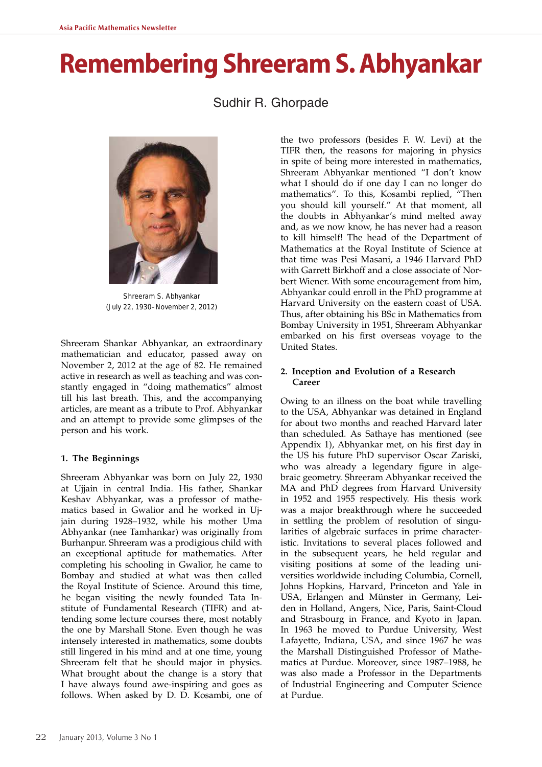# Remembering Shreeram S. Abhyankar **Remembering Shreeram S. Abhyankar**

Sudhir R. Ghorpade Sudhir R. Ghorpade



Shreeram S. Abhyankar (July 22, 1930–November 2, 2012)

Shreeram Shankar Abhyankar, an extraordinary mathematician and educator, passed away on November 2, 2012 at the age of 82. He remained active in research as well as teaching and was constantly engaged in "doing mathematics" almost till his last breath. This, and the accompanying articles, are meant as a tribute to Prof. Abhyankar and an attempt to provide some glimpses of the person and his work.

### **1. The Beginnings**

Shreeram Abhyankar was born on July 22, 1930 at Ujjain in central India. His father, Shankar Keshav Abhyankar, was a professor of mathematics based in Gwalior and he worked in Ujjain during 1928–1932, while his mother Uma Abhyankar (nee Tamhankar) was originally from Burhanpur. Shreeram was a prodigious child with an exceptional aptitude for mathematics. After completing his schooling in Gwalior, he came to Bombay and studied at what was then called the Royal Institute of Science. Around this time, he began visiting the newly founded Tata Institute of Fundamental Research (TIFR) and attending some lecture courses there, most notably the one by Marshall Stone. Even though he was intensely interested in mathematics, some doubts still lingered in his mind and at one time, young Shreeram felt that he should major in physics. What brought about the change is a story that I have always found awe-inspiring and goes as follows. When asked by D. D. Kosambi, one of the two professors (besides F. W. Levi) at the TIFR then, the reasons for majoring in physics in spite of being more interested in mathematics, Shreeram Abhyankar mentioned "I don't know what I should do if one day I can no longer do mathematics". To this, Kosambi replied, "Then you should kill yourself." At that moment, all the doubts in Abhyankar's mind melted away and, as we now know, he has never had a reason to kill himself! The head of the Department of Mathematics at the Royal Institute of Science at that time was Pesi Masani, a 1946 Harvard PhD with Garrett Birkhoff and a close associate of Norbert Wiener. With some encouragement from him, Abhyankar could enroll in the PhD programme at Harvard University on the eastern coast of USA. Thus, after obtaining his BSc in Mathematics from Bombay University in 1951, Shreeram Abhyankar embarked on his first overseas voyage to the United States.

1

### **2. Inception and Evolution of a Research Career**

Owing to an illness on the boat while travelling to the USA, Abhyankar was detained in England for about two months and reached Harvard later than scheduled. As Sathaye has mentioned (see Appendix 1), Abhyankar met, on his first day in the US his future PhD supervisor Oscar Zariski, who was already a legendary figure in algebraic geometry. Shreeram Abhyankar received the MA and PhD degrees from Harvard University in 1952 and 1955 respectively. His thesis work was a major breakthrough where he succeeded in settling the problem of resolution of singularities of algebraic surfaces in prime characteristic. Invitations to several places followed and in the subsequent years, he held regular and visiting positions at some of the leading universities worldwide including Columbia, Cornell, Johns Hopkins, Harvard, Princeton and Yale in USA, Erlangen and Münster in Germany, Leiden in Holland, Angers, Nice, Paris, Saint-Cloud and Strasbourg in France, and Kyoto in Japan. In 1963 he moved to Purdue University, West Lafayette, Indiana, USA, and since 1967 he was the Marshall Distinguished Professor of Mathematics at Purdue. Moreover, since 1987–1988, he was also made a Professor in the Departments of Industrial Engineering and Computer Science at Purdue.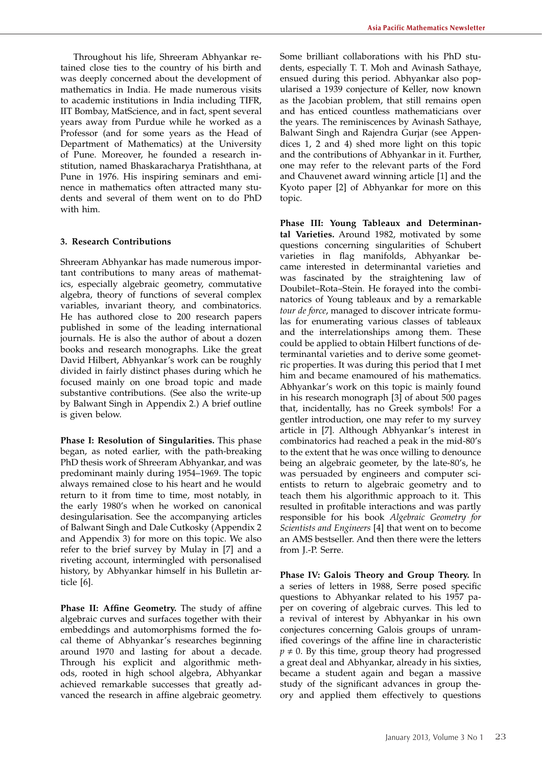Throughout his life, Shreeram Abhyankar retained close ties to the country of his birth and was deeply concerned about the development of mathematics in India. He made numerous visits to academic institutions in India including TIFR, IIT Bombay, MatScience, and in fact, spent several years away from Purdue while he worked as a Professor (and for some years as the Head of Department of Mathematics) at the University of Pune. Moreover, he founded a research institution, named Bhaskaracharya Pratishthana, at Pune in 1976. His inspiring seminars and eminence in mathematics often attracted many students and several of them went on to do PhD with him.

#### **3. Research Contributions**

Shreeram Abhyankar has made numerous important contributions to many areas of mathematics, especially algebraic geometry, commutative algebra, theory of functions of several complex variables, invariant theory, and combinatorics. He has authored close to 200 research papers published in some of the leading international journals. He is also the author of about a dozen books and research monographs. Like the great David Hilbert, Abhyankar's work can be roughly divided in fairly distinct phases during which he focused mainly on one broad topic and made substantive contributions. (See also the write-up by Balwant Singh in Appendix 2.) A brief outline is given below.

**Phase I: Resolution of Singularities.** This phase began, as noted earlier, with the path-breaking PhD thesis work of Shreeram Abhyankar, and was predominant mainly during 1954–1969. The topic always remained close to his heart and he would return to it from time to time, most notably, in the early 1980's when he worked on canonical desingularisation. See the accompanying articles of Balwant Singh and Dale Cutkosky (Appendix 2 and Appendix 3) for more on this topic. We also refer to the brief survey by Mulay in [7] and a riveting account, intermingled with personalised history, by Abhyankar himself in his Bulletin article [6].

**Phase II: Affine Geometry.** The study of affine algebraic curves and surfaces together with their embeddings and automorphisms formed the focal theme of Abhyankar's researches beginning around 1970 and lasting for about a decade. Through his explicit and algorithmic methods, rooted in high school algebra, Abhyankar achieved remarkable successes that greatly advanced the research in affine algebraic geometry. Some brilliant collaborations with his PhD students, especially T. T. Moh and Avinash Sathaye, ensued during this period. Abhyankar also popularised a 1939 conjecture of Keller, now known as the Jacobian problem, that still remains open and has enticed countless mathematicians over the years. The reminiscences by Avinash Sathaye, Balwant Singh and Rajendra Gurjar (see Appendices 1, 2 and 4) shed more light on this topic and the contributions of Abhyankar in it. Further, one may refer to the relevant parts of the Ford and Chauvenet award winning article [1] and the Kyoto paper [2] of Abhyankar for more on this topic.

**Phase III: Young Tableaux and Determinantal Varieties.** Around 1982, motivated by some questions concerning singularities of Schubert varieties in flag manifolds, Abhyankar became interested in determinantal varieties and was fascinated by the straightening law of Doubilet–Rota–Stein. He forayed into the combinatorics of Young tableaux and by a remarkable *tour de force*, managed to discover intricate formulas for enumerating various classes of tableaux and the interrelationships among them. These could be applied to obtain Hilbert functions of determinantal varieties and to derive some geometric properties. It was during this period that I met him and became enamoured of his mathematics. Abhyankar's work on this topic is mainly found in his research monograph [3] of about 500 pages that, incidentally, has no Greek symbols! For a gentler introduction, one may refer to my survey article in [7]. Although Abhyankar's interest in combinatorics had reached a peak in the mid-80's to the extent that he was once willing to denounce being an algebraic geometer, by the late-80's, he was persuaded by engineers and computer scientists to return to algebraic geometry and to teach them his algorithmic approach to it. This resulted in profitable interactions and was partly responsible for his book *Algebraic Geometry for Scientists and Engineers* [4] that went on to become an AMS bestseller. And then there were the letters from J.-P. Serre.

**Phase IV: Galois Theory and Group Theory.** In a series of letters in 1988, Serre posed specific questions to Abhyankar related to his 1957 paper on covering of algebraic curves. This led to a revival of interest by Abhyankar in his own conjectures concerning Galois groups of unramified coverings of the affine line in characteristic  $p \neq 0$ . By this time, group theory had progressed a great deal and Abhyankar, already in his sixties, became a student again and began a massive study of the significant advances in group theory and applied them effectively to questions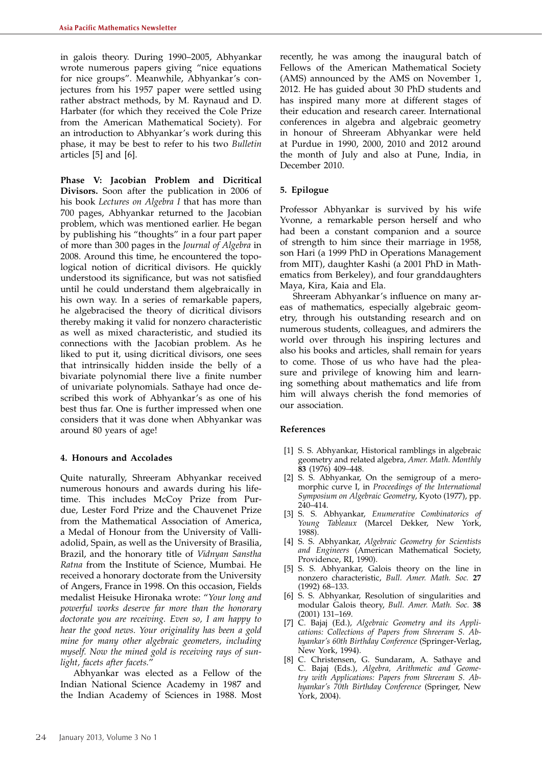in galois theory. During 1990–2005, Abhyankar wrote numerous papers giving "nice equations for nice groups". Meanwhile, Abhyankar's conjectures from his 1957 paper were settled using rather abstract methods, by M. Raynaud and D. Harbater (for which they received the Cole Prize from the American Mathematical Society). For an introduction to Abhyankar's work during this phase, it may be best to refer to his two *Bulletin* articles [5] and [6].

**Phase V: Jacobian Problem and Dicritical Divisors.** Soon after the publication in 2006 of his book *Lectures on Algebra I* that has more than 700 pages, Abhyankar returned to the Jacobian problem, which was mentioned earlier. He began by publishing his "thoughts" in a four part paper of more than 300 pages in the *Journal of Algebra* in 2008. Around this time, he encountered the topological notion of dicritical divisors. He quickly understood its significance, but was not satisfied until he could understand them algebraically in his own way. In a series of remarkable papers, he algebracised the theory of dicritical divisors thereby making it valid for nonzero characteristic as well as mixed characteristic, and studied its connections with the Jacobian problem. As he liked to put it, using dicritical divisors, one sees that intrinsically hidden inside the belly of a bivariate polynomial there live a finite number of univariate polynomials. Sathaye had once described this work of Abhyankar's as one of his best thus far. One is further impressed when one considers that it was done when Abhyankar was around 80 years of age!

#### **4. Honours and Accolades**

Quite naturally, Shreeram Abhyankar received numerous honours and awards during his lifetime. This includes McCoy Prize from Purdue, Lester Ford Prize and the Chauvenet Prize from the Mathematical Association of America, a Medal of Honour from the University of Valliadolid, Spain, as well as the University of Brasilia, Brazil, and the honorary title of *Vidnyan Sanstha Ratna* from the Institute of Science, Mumbai. He received a honorary doctorate from the University of Angers, France in 1998. On this occasion, Fields medalist Heisuke Hironaka wrote: "*Your long and powerful works deserve far more than the honorary doctorate you are receiving. Even so, I am happy to hear the good news. Your originality has been a gold mine for many other algebraic geometers, including myself. Now the mined gold is receiving rays of sunlight, facets after facets.*"

Abhyankar was elected as a Fellow of the Indian National Science Academy in 1987 and the Indian Academy of Sciences in 1988. Most recently, he was among the inaugural batch of Fellows of the American Mathematical Society (AMS) announced by the AMS on November 1, 2012. He has guided about 30 PhD students and has inspired many more at different stages of their education and research career. International conferences in algebra and algebraic geometry in honour of Shreeram Abhyankar were held at Purdue in 1990, 2000, 2010 and 2012 around the month of July and also at Pune, India, in December 2010.

3

#### **5. Epilogue**

Professor Abhyankar is survived by his wife Yvonne, a remarkable person herself and who had been a constant companion and a source of strength to him since their marriage in 1958, son Hari (a 1999 PhD in Operations Management from MIT), daughter Kashi (a 2001 PhD in Mathematics from Berkeley), and four granddaughters Maya, Kira, Kaia and Ela.

Shreeram Abhyankar's influence on many areas of mathematics, especially algebraic geometry, through his outstanding research and on numerous students, colleagues, and admirers the world over through his inspiring lectures and also his books and articles, shall remain for years to come. Those of us who have had the pleasure and privilege of knowing him and learning something about mathematics and life from him will always cherish the fond memories of our association.

#### **References**

- [1] S. S. Abhyankar, Historical ramblings in algebraic geometry and related algebra, *Amer. Math. Monthly* **83** (1976) 409–448.
- [2] S. S. Abhyankar, On the semigroup of a meromorphic curve I, in *Proceedings of the International Symposium on Algebraic Geometry*, Kyoto (1977), pp. 240–414.
- [3] S. S. Abhyankar, *Enumerative Combinatorics of Young Tableaux* (Marcel Dekker, New York, 1988).
- [4] S. S. Abhyankar, *Algebraic Geometry for Scientists and Engineers* (American Mathematical Society, Providence, RI, 1990).
- [5] S. S. Abhyankar, Galois theory on the line in nonzero characteristic, *Bull. Amer. Math. Soc.* **27** (1992) 68–133.
- [6] S. S. Abhyankar, Resolution of singularities and modular Galois theory, *Bull. Amer. Math. Soc.* **38** (2001) 131–169.
- [7] C. Bajaj (Ed.), *Algebraic Geometry and its Applications: Collections of Papers from Shreeram S. Abhyankar's 60th Birthday Conference* (Springer-Verlag, New York, 1994).
- [8] C. Christensen, G. Sundaram, A. Sathaye and C. Bajaj (Eds.), *Algebra, Arithmetic and Geometry with Applications: Papers from Shreeram S. Abhyankar's 70th Birthday Conference* (Springer, New York, 2004).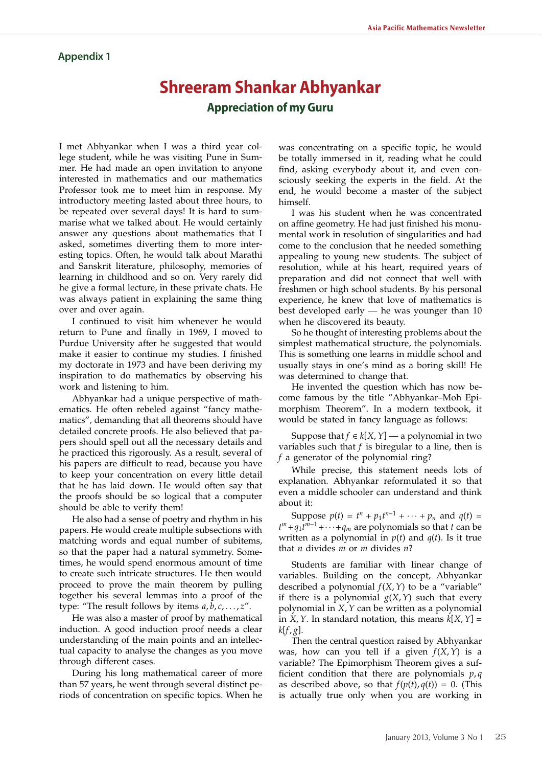### **Appendix 1 Appendix 1**

## **Shreeram Shankar Abhyankar Shreeram Shankar Abhyankar Appreciation of my Guru Appreciation of my Guru**

I met Abhyankar when I was a third year college student, while he was visiting Pune in Summer. He had made an open invitation to anyone interested in mathematics and our mathematics Professor took me to meet him in response. My introductory meeting lasted about three hours, to be repeated over several days! It is hard to summarise what we talked about. He would certainly answer any questions about mathematics that I asked, sometimes diverting them to more interesting topics. Often, he would talk about Marathi and Sanskrit literature, philosophy, memories of learning in childhood and so on. Very rarely did he give a formal lecture, in these private chats. He was always patient in explaining the same thing over and over again.

I continued to visit him whenever he would return to Pune and finally in 1969, I moved to Purdue University after he suggested that would make it easier to continue my studies. I finished my doctorate in 1973 and have been deriving my inspiration to do mathematics by observing his work and listening to him.

Abhyankar had a unique perspective of mathematics. He often rebeled against "fancy mathematics", demanding that all theorems should have detailed concrete proofs. He also believed that papers should spell out all the necessary details and he practiced this rigorously. As a result, several of his papers are difficult to read, because you have to keep your concentration on every little detail that he has laid down. He would often say that the proofs should be so logical that a computer should be able to verify them!

He also had a sense of poetry and rhythm in his papers. He would create multiple subsections with matching words and equal number of subitems, so that the paper had a natural symmetry. Sometimes, he would spend enormous amount of time to create such intricate structures. He then would proceed to prove the main theorem by pulling together his several lemmas into a proof of the type: "The result follows by items *a*, *b*, *c*, . . . , *z*".

He was also a master of proof by mathematical induction. A good induction proof needs a clear understanding of the main points and an intellectual capacity to analyse the changes as you move through different cases.

During his long mathematical career of more than 57 years, he went through several distinct periods of concentration on specific topics. When he was concentrating on a specific topic, he would be totally immersed in it, reading what he could find, asking everybody about it, and even consciously seeking the experts in the field. At the end, he would become a master of the subject himself.

I was his student when he was concentrated on affine geometry. He had just finished his monumental work in resolution of singularities and had come to the conclusion that he needed something appealing to young new students. The subject of resolution, while at his heart, required years of preparation and did not connect that well with freshmen or high school students. By his personal experience, he knew that love of mathematics is best developed early — he was younger than 10 when he discovered its beauty.

So he thought of interesting problems about the simplest mathematical structure, the polynomials. This is something one learns in middle school and usually stays in one's mind as a boring skill! He was determined to change that.

He invented the question which has now become famous by the title "Abhyankar–Moh Epimorphism Theorem". In a modern textbook, it would be stated in fancy language as follows:

Suppose that  $f \in k[X, Y]$  — a polynomial in two variables such that *f* is biregular to a line, then is *f* a generator of the polynomial ring?

While precise, this statement needs lots of explanation. Abhyankar reformulated it so that even a middle schooler can understand and think about it:

Suppose  $p(t) = t^n + p_1 t^{n-1} + \cdots + p_n$  and  $q(t) =$  $t^m + q_1 t^{m-1} + \cdots + q_m$  are polynomials so that *t* can be written as a polynomial in  $p(t)$  and  $q(t)$ . Is it true that *n* divides *m* or *m* divides *n*?

Students are familiar with linear change of variables. Building on the concept, Abhyankar described a polynomial  $f(X, Y)$  to be a "variable" if there is a polynomial  $g(X, Y)$  such that every polynomial in *X*, *Y* can be written as a polynomial in *X*, *Y*. In standard notation, this means  $k[X, Y] =$  $k[f, g]$ .

Then the central question raised by Abhyankar was, how can you tell if a given  $f(X, Y)$  is a variable? The Epimorphism Theorem gives a sufficient condition that there are polynomials *p*, *q* as described above, so that  $f(p(t), q(t)) = 0$ . (This is actually true only when you are working in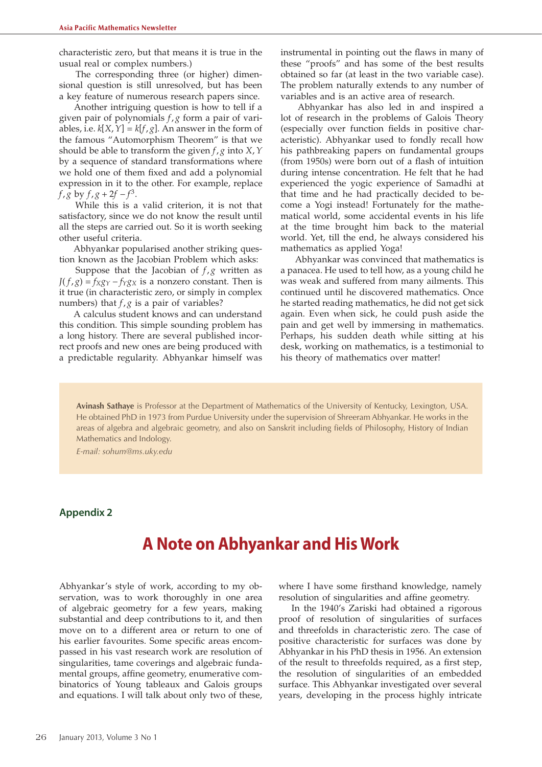characteristic zero, but that means it is true in the usual real or complex numbers.)

The corresponding three (or higher) dimensional question is still unresolved, but has been a key feature of numerous research papers since.

Another intriguing question is how to tell if a given pair of polynomials *f*, *g* form a pair of variables, i.e.  $k[X, Y] = k[f, g]$ . An answer in the form of the famous "Automorphism Theorem" is that we should be able to transform the given *f*, *g* into *X*, *Y* by a sequence of standard transformations where we hold one of them fixed and add a polynomial expression in it to the other. For example, replace *f*, *g* by *f*, *g* + 2*f* − *f*<sup>3</sup>.

While this is a valid criterion, it is not that satisfactory, since we do not know the result until all the steps are carried out. So it is worth seeking other useful criteria.

Abhyankar popularised another striking question known as the Jacobian Problem which asks:

Suppose that the Jacobian of  $f, g$  written as  $J(f,g) = f_X g_Y - f_Y g_X$  is a nonzero constant. Then is it true (in characteristic zero, or simply in complex numbers) that  $f, g$  is a pair of variables?

A calculus student knows and can understand this condition. This simple sounding problem has a long history. There are several published incorrect proofs and new ones are being produced with a predictable regularity. Abhyankar himself was instrumental in pointing out the flaws in many of these "proofs" and has some of the best results obtained so far (at least in the two variable case). The problem naturally extends to any number of variables and is an active area of research.

5

Abhyankar has also led in and inspired a lot of research in the problems of Galois Theory (especially over function fields in positive characteristic). Abhyankar used to fondly recall how his pathbreaking papers on fundamental groups (from 1950s) were born out of a flash of intuition during intense concentration. He felt that he had experienced the yogic experience of Samadhi at that time and he had practically decided to become a Yogi instead! Fortunately for the mathematical world, some accidental events in his life at the time brought him back to the material world. Yet, till the end, he always considered his mathematics as applied Yoga!

Abhyankar was convinced that mathematics is a panacea. He used to tell how, as a young child he was weak and suffered from many ailments. This continued until he discovered mathematics. Once he started reading mathematics, he did not get sick again. Even when sick, he could push aside the pain and get well by immersing in mathematics. Perhaps, his sudden death while sitting at his desk, working on mathematics, is a testimonial to his theory of mathematics over matter!

areas of algebra and algebraic geometry, and also on Sanskrit including fields of Philosophy, History of Indian Lexington, USA. He obtained PhD in 1973 from Pure University under the supervision of Shreetam Pure Pure Vision of Shreetam Pure Vision of Shreetam Pure Shreetam Pure Shreetam Pure Shreetam Pure Shreetam Pure Shreetam Pure **Avinash Sathaye** is Professor at the Department of Mathematics of the University of Kentucky, Lexington, USA. He obtained PhD in 1973 from Purdue University under the supervision of Shreeram Abhyankar. He works in the

Abhyankar. He works in the areas of algebra and algebraic geometry, and also on Sanskrit including *E-mail: sohum@ms.uky.edu* fields of Philosophy, History of Indian Mathematics and Indology.

### **Appendix 2 Appendix 2**

# **A Note on Abhyankar and His Work A Note on Abhyankar and His Work**

Abhyankar's style of work, according to my observation, was to work thoroughly in one area of algebraic geometry for a few years, making substantial and deep contributions to it, and then move on to a different area or return to one of his earlier favourites. Some specific areas encompassed in his vast research work are resolution of singularities, tame coverings and algebraic fundamental groups, affine geometry, enumerative combinatorics of Young tableaux and Galois groups and equations. I will talk about only two of these,

where I have some firsthand knowledge, namely resolution of singularities and affine geometry.

In the 1940's Zariski had obtained a rigorous proof of resolution of singularities of surfaces and threefolds in characteristic zero. The case of positive characteristic for surfaces was done by Abhyankar in his PhD thesis in 1956. An extension of the result to threefolds required, as a first step, the resolution of singularities of an embedded surface. This Abhyankar investigated over several years, developing in the process highly intricate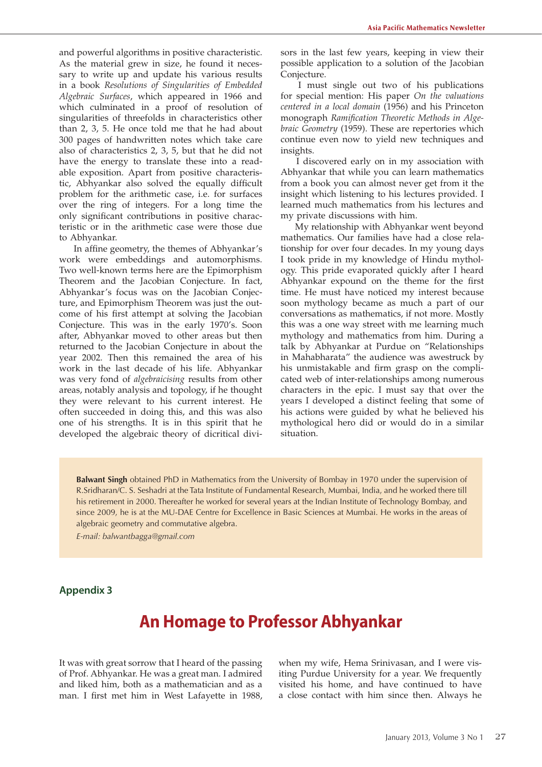and powerful algorithms in positive characteristic. As the material grew in size, he found it necessary to write up and update his various results in a book *Resolutions of Singularities of Embedded Algebraic Surfaces*, which appeared in 1966 and which culminated in a proof of resolution of singularities of threefolds in characteristics other than 2, 3, 5. He once told me that he had about 300 pages of handwritten notes which take care also of characteristics 2, 3, 5, but that he did not have the energy to translate these into a readable exposition. Apart from positive characteristic, Abhyankar also solved the equally difficult problem for the arithmetic case, i.e. for surfaces over the ring of integers. For a long time the only significant contributions in positive characteristic or in the arithmetic case were those due to Abhyankar.

In affine geometry, the themes of Abhyankar's work were embeddings and automorphisms. Two well-known terms here are the Epimorphism Theorem and the Jacobian Conjecture. In fact, Abhyankar's focus was on the Jacobian Conjecture, and Epimorphism Theorem was just the outcome of his first attempt at solving the Jacobian Conjecture. This was in the early 1970's. Soon after, Abhyankar moved to other areas but then returned to the Jacobian Conjecture in about the year 2002. Then this remained the area of his work in the last decade of his life. Abhyankar was very fond of *algebraicising* results from other areas, notably analysis and topology, if he thought they were relevant to his current interest. He often succeeded in doing this, and this was also one of his strengths. It is in this spirit that he developed the algebraic theory of dicritical divisors in the last few years, keeping in view their possible application to a solution of the Jacobian Conjecture.

I must single out two of his publications for special mention: His paper *On the valuations centered in a local domain* (1956) and his Princeton monograph *Ramification Theoretic Methods in Algebraic Geometry* (1959). These are repertories which continue even now to yield new techniques and insights.

I discovered early on in my association with Abhyankar that while you can learn mathematics from a book you can almost never get from it the insight which listening to his lectures provided. I learned much mathematics from his lectures and my private discussions with him.

My relationship with Abhyankar went beyond mathematics. Our families have had a close relationship for over four decades. In my young days I took pride in my knowledge of Hindu mythology. This pride evaporated quickly after I heard Abhyankar expound on the theme for the first time. He must have noticed my interest because soon mythology became as much a part of our conversations as mathematics, if not more. Mostly this was a one way street with me learning much mythology and mathematics from him. During a talk by Abhyankar at Purdue on "Relationships in Mahabharata" the audience was awestruck by his unmistakable and firm grasp on the complicated web of inter-relationships among numerous characters in the epic. I must say that over the years I developed a distinct feeling that some of his actions were guided by what he believed his mythological hero did or would do in a similar situation.

Rathamatics of bestiant at the Tata Institute of Fundamental Research, Munibar, mula, and he worked there the<br>his retirement in 2000. Thereafter he worked for several years at the Indian Institute of Technology Bombay, and supervision of R. Sridharan/C. S. Seshadri at the Tata Institute of Fundamental Research, Mumbai,  $\frac{1}{100}$  India, and he worked there there there there is believed at multiplate for several years at the works at the areas of Institute of Technology Bombay, and since 2009, he is at the MU-DAE Centre for Excellence in the MU-DAE Centre for Excellence in the MU-DAE Centre for Excellence in the MU-DAE Centre for Excellence in the MU-DAE Centre for **Balwant Singh** obtained PhD in Mathematics from the University of Bombay in 1970 under the supervision of R.Sridharan/C. S. Seshadri at the Tata Institute of Fundamental Research, Mumbai, India, and he worked there till h R.Sridharan/C. S. Seshadri at the Tata Institute of Fundamental Research, Mumbai, India, and he worked there till since 2009, he is at the MU-DAE Centre for Excellence in Basic Sciences at Mumbai. He works in the areas of

Basic Sciences at Mumbai. He works in the areas of algebraic geometry and commutative algebra. *E-mail: balwantbagga@gmail.com*

### **Appendix 3 Appendix 3**

# **An Homage to Professor Abhyankar An Homage to Professor Abhyankar**

It was with great sorrow that I heard of the passing of Prof. Abhyankar. He was a great man. I admired and liked him, both as a mathematician and as a man. I first met him in West Lafayette in 1988,

when my wife, Hema Srinivasan, and I were visiting Purdue University for a year. We frequently visited his home, and have continued to have a close contact with him since then. Always he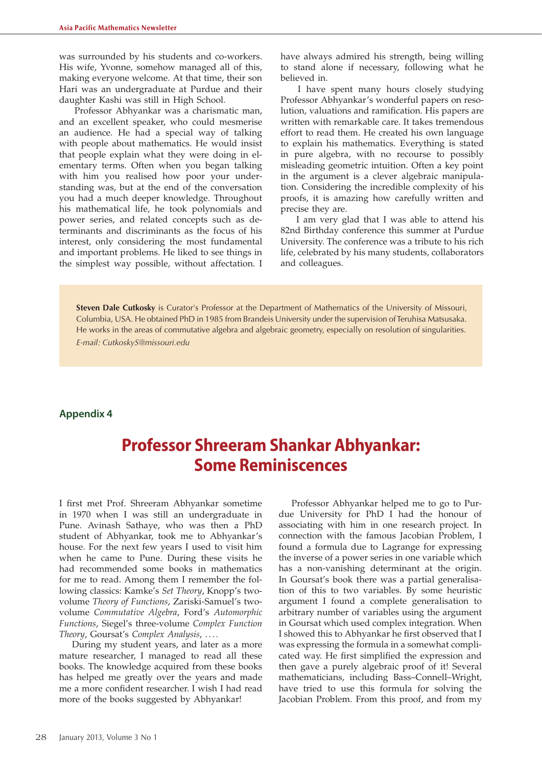was surrounded by his students and co-workers. His wife, Yvonne, somehow managed all of this, making everyone welcome. At that time, their son Hari was an undergraduate at Purdue and their daughter Kashi was still in High School.

Professor Abhyankar was a charismatic man, and an excellent speaker, who could mesmerise an audience. He had a special way of talking with people about mathematics. He would insist that people explain what they were doing in elementary terms. Often when you began talking with him you realised how poor your understanding was, but at the end of the conversation you had a much deeper knowledge. Throughout his mathematical life, he took polynomials and power series, and related concepts such as determinants and discriminants as the focus of his interest, only considering the most fundamental and important problems. He liked to see things in the simplest way possible, without affectation. I

have always admired his strength, being willing to stand alone if necessary, following what he believed in.

7

I have spent many hours closely studying Professor Abhyankar's wonderful papers on resolution, valuations and ramification. His papers are written with remarkable care. It takes tremendous effort to read them. He created his own language to explain his mathematics. Everything is stated in pure algebra, with no recourse to possibly misleading geometric intuition. Often a key point in the argument is a clever algebraic manipulation. Considering the incredible complexity of his proofs, it is amazing how carefully written and precise they are.

I am very glad that I was able to attend his 82nd Birthday conference this summer at Purdue University. The conference was a tribute to his rich life, celebrated by his many students, collaborators and colleagues.

He works in the areas of commutative algebra and algebraic geometry, especially on resolution of singularities. Missouri, Columbia, USA. He obtained PhD in 1985 from Brandeis University under the supervision of *E-mail: CutkoskyS@missouri.edu* **Steven Dale Cutkosky** is Curator's Professor at the Department of Mathematics of the University of Missouri, Columbia, USA. He obtained PhD in 1985 from Brandeis University under the supervision of Teruhisa Matsusaka.

Teruhisa Matsusaka. He works in the areas of commutative algebra and algebraic geometry, especially

Teruhisa Matsusaka. He works in the areas of commutative algebra and algebraic geometry, especiallyon resolution of singularities.

### **Appendix 4 Appendix 4**

# **Professor Shreeram Shankar Abhyankar: Some Reminiscences Professor Shreeram Shankar Abhyankar: Some Reminiscences**

I first met Prof. Shreeram Abhyankar sometime in 1970 when I was still an undergraduate in Pune. Avinash Sathaye, who was then a PhD student of Abhyankar, took me to Abhyankar's house. For the next few years I used to visit him when he came to Pune. During these visits he had recommended some books in mathematics for me to read. Among them I remember the following classics: Kamke's *Set Theory*, Knopp's twovolume *Theory of Functions*, Zariski-Samuel's twovolume *Commutative Algebra*, Ford's *Automorphic Functions*, Siegel's three-volume *Complex Function Theory*, Goursat's *Complex Analysis*, . . . .

During my student years, and later as a more mature researcher, I managed to read all these books. The knowledge acquired from these books has helped me greatly over the years and made me a more confident researcher. I wish I had read more of the books suggested by Abhyankar!

Professor Abhyankar helped me to go to Purdue University for PhD I had the honour of associating with him in one research project. In due University for PhD I had the honour ofassociating with him in one research project. Inconnection with the famous Jacobian Problem, I found a formula due to Lagrange for expressing the inverse of a power series in one variable which has a non-vanishing determinant at the origin. In Goursat's book there was a partial generalisation of this to two variables. By some heuristic argument I found a complete generalisation to arbitrary number of variables using the argument in Goursat which used complex integration. When I showed this to Abhyankar he first observed that I was expressing the formula in a somewhat complicated way. He first simplified the expression and then gave a purely algebraic proof of it! Several mathematicians, including Bass–Connell–Wright, have tried to use this formula for solving the Jacobian Problem. From this proof, and from my reading and the Professor Abhyankar helped me to go to Purwhen I was still an undergraduate in due University for PhD I had the honour of winash Sathaye, who was then a PhD associating with him in one research project. In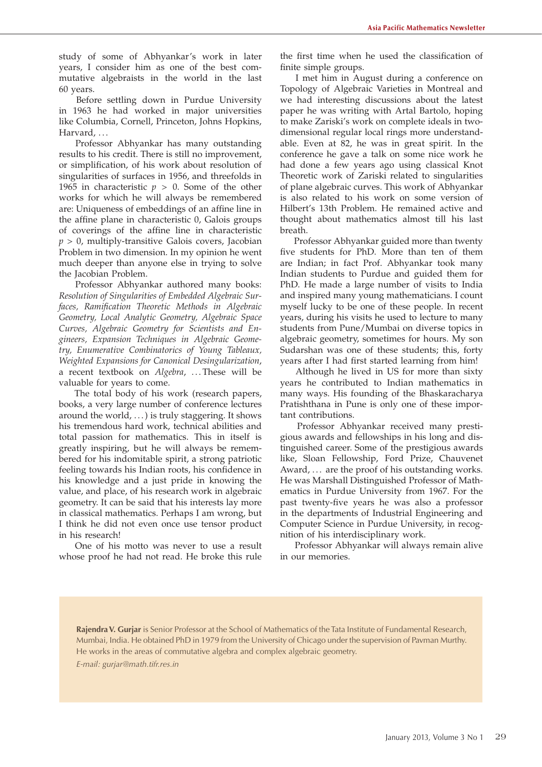8

study of some of Abhyankar's work in later years, I consider him as one of the best commutative algebraists in the world in the last 60 years.

Before settling down in Purdue University in 1963 he had worked in major universities like Columbia, Cornell, Princeton, Johns Hopkins, Harvard, ...

Professor Abhyankar has many outstanding results to his credit. There is still no improvement, or simplification, of his work about resolution of singularities of surfaces in 1956, and threefolds in 1965 in characteristic  $p > 0$ . Some of the other works for which he will always be remembered are: Uniqueness of embeddings of an affine line in the affine plane in characteristic 0, Galois groups of coverings of the affine line in characteristic *p* > 0, multiply-transitive Galois covers, Jacobian Problem in two dimension. In my opinion he went much deeper than anyone else in trying to solve the Jacobian Problem.

Professor Abhyankar authored many books: *Resolution of Singularities of Embedded Algebraic Surfaces, Ramification Theoretic Methods in Algebraic Geometry, Local Analytic Geometry, Algebraic Space Curves, Algebraic Geometry for Scientists and Engineers, Expansion Techniques in Algebraic Geometry, Enumerative Combinatorics of Young Tableaux, Weighted Expansions for Canonical Desingularization*, a recent textbook on *Algebra*, ... These will be valuable for years to come.

The total body of his work (research papers, books, a very large number of conference lectures around the world,  $\ldots$ ) is truly staggering. It shows his tremendous hard work, technical abilities and total passion for mathematics. This in itself is greatly inspiring, but he will always be remembered for his indomitable spirit, a strong patriotic feeling towards his Indian roots, his confidence in his knowledge and a just pride in knowing the value, and place, of his research work in algebraic geometry. It can be said that his interests lay more in classical mathematics. Perhaps I am wrong, but I think he did not even once use tensor product in his research!

One of his motto was never to use a result whose proof he had not read. He broke this rule

the first time when he used the classification of finite simple groups.

I met him in August during a conference on Topology of Algebraic Varieties in Montreal and we had interesting discussions about the latest paper he was writing with Artal Bartolo, hoping to make Zariski's work on complete ideals in twodimensional regular local rings more understandable. Even at 82, he was in great spirit. In the conference he gave a talk on some nice work he had done a few years ago using classical Knot Theoretic work of Zariski related to singularities of plane algebraic curves. This work of Abhyankar is also related to his work on some version of Hilbert's 13th Problem. He remained active and thought about mathematics almost till his last breath.

Professor Abhyankar guided more than twenty five students for PhD. More than ten of them are Indian; in fact Prof. Abhyankar took many Indian students to Purdue and guided them for PhD. He made a large number of visits to India and inspired many young mathematicians. I count myself lucky to be one of these people. In recent years, during his visits he used to lecture to many students from Pune/Mumbai on diverse topics in algebraic geometry, sometimes for hours. My son Sudarshan was one of these students; this, forty years after I had first started learning from him!

Although he lived in US for more than sixty years he contributed to Indian mathematics in many ways. His founding of the Bhaskaracharya Pratishthana in Pune is only one of these important contributions.

Professor Abhyankar received many prestigious awards and fellowships in his long and distinguished career. Some of the prestigious awards like, Sloan Fellowship, Ford Prize, Chauvenet Award, ... are the proof of his outstanding works. He was Marshall Distinguished Professor of Mathematics in Purdue University from 1967. For the past twenty-five years he was also a professor in the departments of Industrial Engineering and Computer Science in Purdue University, in recognition of his interdisciplinary work.

Professor Abhyankar will always remain alive in our memories.

**Rajendra V. Gurjar** is Senior Professor at the School of Mathematics of the Tata Institute of Fundamental **Rajendra V. Gurjar** is Senior Professor at the School of Mathematics of the Tata Institute of Fundamental Research, Mumbai, India. He obtained PhD in 1979 from the University of Chicago under the supervision of Pavman Murthy.<br>Mumbai, India. He obtained PhD in 1979 from the University of Chicago under the supervision of Pavman Murthy. E-mail: gurjar@math.tifr.res.in *E-mail: gurjar@math.tifr.res.in* He works in the areas of commutative algebra and complex algebraic geometry.